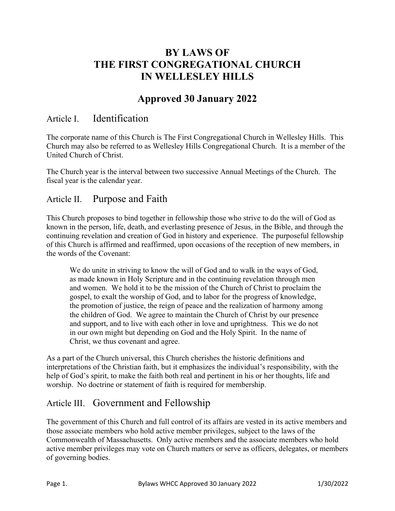# **BY LAWS OF THE FIRST CONGREGATIONAL CHURCH IN WELLESLEY HILLS**

# **Approved 30 January 2022**

## Article I. Identification

The corporate name of this Church is The First Congregational Church in Wellesley Hills. This Church may also be referred to as Wellesley Hills Congregational Church. It is a member of the United Church of Christ.

The Church year is the interval between two successive Annual Meetings of the Church. The fiscal year is the calendar year.

## Article II. Purpose and Faith

This Church proposes to bind together in fellowship those who strive to do the will of God as known in the person, life, death, and everlasting presence of Jesus, in the Bible, and through the continuing revelation and creation of God in history and experience. The purposeful fellowship of this Church is affirmed and reaffirmed, upon occasions of the reception of new members, in the words of the Covenant:

We do unite in striving to know the will of God and to walk in the ways of God, as made known in Holy Scripture and in the continuing revelation through men and women. We hold it to be the mission of the Church of Christ to proclaim the gospel, to exalt the worship of God, and to labor for the progress of knowledge, the promotion of justice, the reign of peace and the realization of harmony among the children of God. We agree to maintain the Church of Christ by our presence and support, and to live with each other in love and uprightness. This we do not in our own might but depending on God and the Holy Spirit. In the name of Christ, we thus covenant and agree.

As a part of the Church universal, this Church cherishes the historic definitions and interpretations of the Christian faith, but it emphasizes the individual's responsibility, with the help of God's spirit, to make the faith both real and pertinent in his or her thoughts, life and worship. No doctrine or statement of faith is required for membership.

## Article III. Government and Fellowship

The government of this Church and full control of its affairs are vested in its active members and those associate members who hold active member privileges, subject to the laws of the Commonwealth of Massachusetts. Only active members and the associate members who hold active member privileges may vote on Church matters or serve as officers, delegates, or members of governing bodies.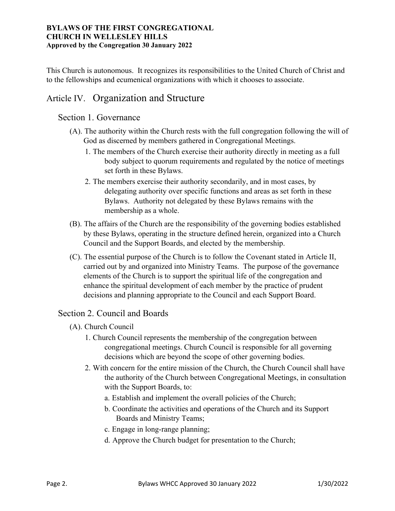This Church is autonomous. It recognizes its responsibilities to the United Church of Christ and to the fellowships and ecumenical organizations with which it chooses to associate.

## Article IV. Organization and Structure

### Section 1. Governance

- (A). The authority within the Church rests with the full congregation following the will of God as discerned by members gathered in Congregational Meetings.
	- 1. The members of the Church exercise their authority directly in meeting as a full body subject to quorum requirements and regulated by the notice of meetings set forth in these Bylaws.
	- 2. The members exercise their authority secondarily, and in most cases, by delegating authority over specific functions and areas as set forth in these Bylaws. Authority not delegated by these Bylaws remains with the membership as a whole.
- (B). The affairs of the Church are the responsibility of the governing bodies established by these Bylaws, operating in the structure defined herein, organized into a Church Council and the Support Boards, and elected by the membership.
- (C). The essential purpose of the Church is to follow the Covenant stated in Article II, carried out by and organized into Ministry Teams. The purpose of the governance elements of the Church is to support the spiritual life of the congregation and enhance the spiritual development of each member by the practice of prudent decisions and planning appropriate to the Council and each Support Board.

## Section 2. Council and Boards

- (A). Church Council
	- 1. Church Council represents the membership of the congregation between congregational meetings. Church Council is responsible for all governing decisions which are beyond the scope of other governing bodies.
	- 2. With concern for the entire mission of the Church, the Church Council shall have the authority of the Church between Congregational Meetings, in consultation with the Support Boards, to:
		- a. Establish and implement the overall policies of the Church;
		- b. Coordinate the activities and operations of the Church and its Support Boards and Ministry Teams;
		- c. Engage in long-range planning;
		- d. Approve the Church budget for presentation to the Church;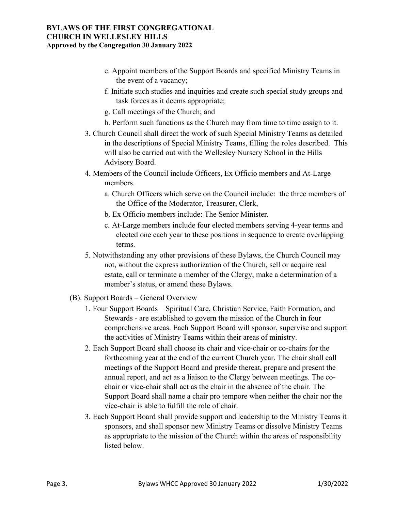- e. Appoint members of the Support Boards and specified Ministry Teams in the event of a vacancy;
- f. Initiate such studies and inquiries and create such special study groups and task forces as it deems appropriate;
- g. Call meetings of the Church; and
- h. Perform such functions as the Church may from time to time assign to it.
- 3. Church Council shall direct the work of such Special Ministry Teams as detailed in the descriptions of Special Ministry Teams, filling the roles described. This will also be carried out with the Wellesley Nursery School in the Hills Advisory Board.
- 4. Members of the Council include Officers, Ex Officio members and At-Large members.
	- a. Church Officers which serve on the Council include: the three members of the Office of the Moderator, Treasurer, Clerk,
	- b. Ex Officio members include: The Senior Minister.
	- c. At-Large members include four elected members serving 4-year terms and elected one each year to these positions in sequence to create overlapping terms.
- 5. Notwithstanding any other provisions of these Bylaws, the Church Council may not, without the express authorization of the Church, sell or acquire real estate, call or terminate a member of the Clergy, make a determination of a member's status, or amend these Bylaws.
- (B). Support Boards General Overview
	- 1. Four Support Boards Spiritual Care, Christian Service, Faith Formation, and Stewards - are established to govern the mission of the Church in four comprehensive areas. Each Support Board will sponsor, supervise and support the activities of Ministry Teams within their areas of ministry.
	- 2. Each Support Board shall choose its chair and vice-chair or co-chairs for the forthcoming year at the end of the current Church year. The chair shall call meetings of the Support Board and preside thereat, prepare and present the annual report, and act as a liaison to the Clergy between meetings. The cochair or vice-chair shall act as the chair in the absence of the chair. The Support Board shall name a chair pro tempore when neither the chair nor the vice-chair is able to fulfill the role of chair.
	- 3. Each Support Board shall provide support and leadership to the Ministry Teams it sponsors, and shall sponsor new Ministry Teams or dissolve Ministry Teams as appropriate to the mission of the Church within the areas of responsibility listed below.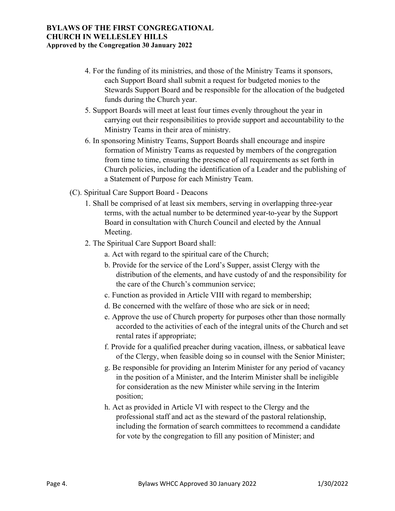- 4. For the funding of its ministries, and those of the Ministry Teams it sponsors, each Support Board shall submit a request for budgeted monies to the Stewards Support Board and be responsible for the allocation of the budgeted funds during the Church year.
- 5. Support Boards will meet at least four times evenly throughout the year in carrying out their responsibilities to provide support and accountability to the Ministry Teams in their area of ministry.
- 6. In sponsoring Ministry Teams, Support Boards shall encourage and inspire formation of Ministry Teams as requested by members of the congregation from time to time, ensuring the presence of all requirements as set forth in Church policies, including the identification of a Leader and the publishing of a Statement of Purpose for each Ministry Team.
- (C). Spiritual Care Support Board Deacons
	- 1. Shall be comprised of at least six members, serving in overlapping three-year terms, with the actual number to be determined year-to-year by the Support Board in consultation with Church Council and elected by the Annual Meeting.
	- 2. The Spiritual Care Support Board shall:
		- a. Act with regard to the spiritual care of the Church;
		- b. Provide for the service of the Lord's Supper, assist Clergy with the distribution of the elements, and have custody of and the responsibility for the care of the Church's communion service;
		- c. Function as provided in Article VIII with regard to membership;
		- d. Be concerned with the welfare of those who are sick or in need;
		- e. Approve the use of Church property for purposes other than those normally accorded to the activities of each of the integral units of the Church and set rental rates if appropriate;
		- f. Provide for a qualified preacher during vacation, illness, or sabbatical leave of the Clergy, when feasible doing so in counsel with the Senior Minister;
		- g. Be responsible for providing an Interim Minister for any period of vacancy in the position of a Minister, and the Interim Minister shall be ineligible for consideration as the new Minister while serving in the Interim position;
		- h. Act as provided in Article VI with respect to the Clergy and the professional staff and act as the steward of the pastoral relationship, including the formation of search committees to recommend a candidate for vote by the congregation to fill any position of Minister; and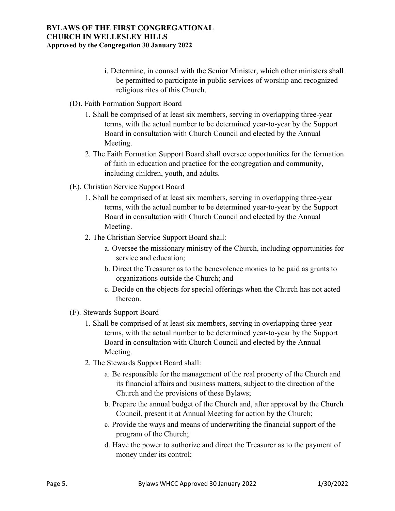- i. Determine, in counsel with the Senior Minister, which other ministers shall be permitted to participate in public services of worship and recognized religious rites of this Church.
- (D). Faith Formation Support Board
	- 1. Shall be comprised of at least six members, serving in overlapping three-year terms, with the actual number to be determined year-to-year by the Support Board in consultation with Church Council and elected by the Annual Meeting.
	- 2. The Faith Formation Support Board shall oversee opportunities for the formation of faith in education and practice for the congregation and community, including children, youth, and adults.
- (E). Christian Service Support Board
	- 1. Shall be comprised of at least six members, serving in overlapping three-year terms, with the actual number to be determined year-to-year by the Support Board in consultation with Church Council and elected by the Annual Meeting.
	- 2. The Christian Service Support Board shall:
		- a. Oversee the missionary ministry of the Church, including opportunities for service and education;
		- b. Direct the Treasurer as to the benevolence monies to be paid as grants to organizations outside the Church; and
		- c. Decide on the objects for special offerings when the Church has not acted thereon.
- (F). Stewards Support Board
	- 1. Shall be comprised of at least six members, serving in overlapping three-year terms, with the actual number to be determined year-to-year by the Support Board in consultation with Church Council and elected by the Annual Meeting.
	- 2. The Stewards Support Board shall:
		- a. Be responsible for the management of the real property of the Church and its financial affairs and business matters, subject to the direction of the Church and the provisions of these Bylaws;
		- b. Prepare the annual budget of the Church and, after approval by the Church Council, present it at Annual Meeting for action by the Church;
		- c. Provide the ways and means of underwriting the financial support of the program of the Church;
		- d. Have the power to authorize and direct the Treasurer as to the payment of money under its control;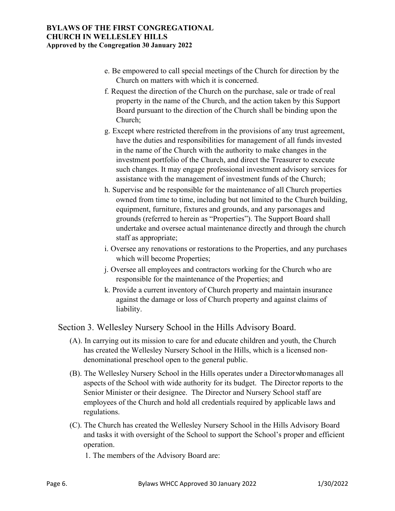- e. Be empowered to call special meetings of the Church for direction by the Church on matters with which it is concerned.
- f. Request the direction of the Church on the purchase, sale or trade of real property in the name of the Church, and the action taken by this Support Board pursuant to the direction of the Church shall be binding upon the Church;
- g. Except where restricted therefrom in the provisions of any trust agreement, have the duties and responsibilities for management of all funds invested in the name of the Church with the authority to make changes in the investment portfolio of the Church, and direct the Treasurer to execute such changes. It may engage professional investment advisory services for assistance with the management of investment funds of the Church;
- h. Supervise and be responsible for the maintenance of all Church properties owned from time to time, including but not limited to the Church building, equipment, furniture, fixtures and grounds, and any parsonages and grounds (referred to herein as "Properties"). The Support Board shall undertake and oversee actual maintenance directly and through the church staff as appropriate;
- i. Oversee any renovations or restorations to the Properties, and any purchases which will become Properties;
- j. Oversee all employees and contractors working for the Church who are responsible for the maintenance of the Properties; and
- k. Provide a current inventory of Church property and maintain insurance against the damage or loss of Church property and against claims of liability.

Section 3. Wellesley Nursery School in the Hills Advisory Board.

- (A). In carrying out its mission to care for and educate children and youth, the Church has created the Wellesley Nursery School in the Hills, which is a licensed nondenominational preschool open to the general public.
- (B). The Wellesley Nursery School in the Hills operates under a Director who manages all aspects of the School with wide authority for its budget. The Director reports to the Senior Minister or their designee. The Director and Nursery School staff are employees of the Church and hold all credentials required by applicable laws and regulations.
- (C). The Church has created the Wellesley Nursery School in the Hills Advisory Board and tasks it with oversight of the School to support the School's proper and efficient operation.
	- 1. The members of the Advisory Board are: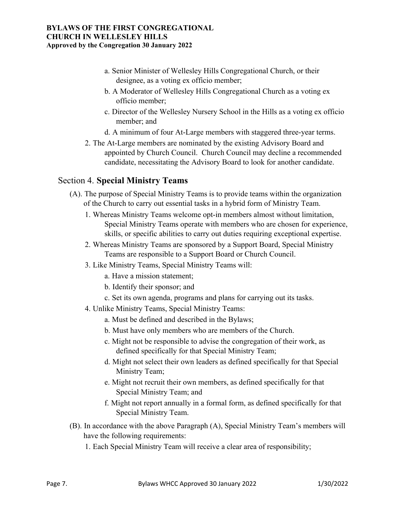- a. Senior Minister of Wellesley Hills Congregational Church, or their designee, as a voting ex officio member;
- b. A Moderator of Wellesley Hills Congregational Church as a voting ex officio member;
- c. Director of the Wellesley Nursery School in the Hills as a voting ex officio member; and
- d. A minimum of four At-Large members with staggered three-year terms.
- 2. The At-Large members are nominated by the existing Advisory Board and appointed by Church Council. Church Council may decline a recommended candidate, necessitating the Advisory Board to look for another candidate.

## Section 4. **Special Ministry Teams**

- (A). The purpose of Special Ministry Teams is to provide teams within the organization of the Church to carry out essential tasks in a hybrid form of Ministry Team.
	- 1. Whereas Ministry Teams welcome opt-in members almost without limitation, Special Ministry Teams operate with members who are chosen for experience, skills, or specific abilities to carry out duties requiring exceptional expertise.
	- 2. Whereas Ministry Teams are sponsored by a Support Board, Special Ministry Teams are responsible to a Support Board or Church Council.
	- 3. Like Ministry Teams, Special Ministry Teams will:
		- a. Have a mission statement;
		- b. Identify their sponsor; and
		- c. Set its own agenda, programs and plans for carrying out its tasks.
	- 4. Unlike Ministry Teams, Special Ministry Teams:
		- a. Must be defined and described in the Bylaws;
		- b. Must have only members who are members of the Church.
		- c. Might not be responsible to advise the congregation of their work, as defined specifically for that Special Ministry Team;
		- d. Might not select their own leaders as defined specifically for that Special Ministry Team;
		- e. Might not recruit their own members, as defined specifically for that Special Ministry Team; and
		- f. Might not report annually in a formal form, as defined specifically for that Special Ministry Team.
- (B). In accordance with the above Paragraph (A), Special Ministry Team's members will have the following requirements:
	- 1. Each Special Ministry Team will receive a clear area of responsibility;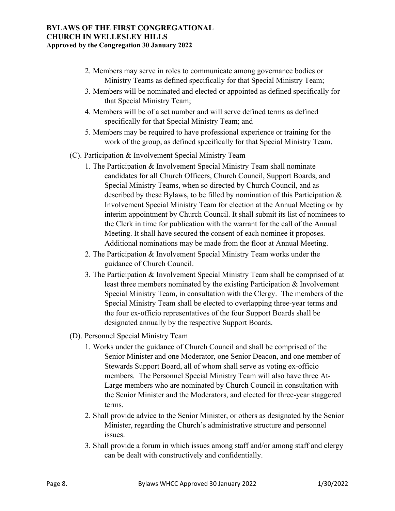- 2. Members may serve in roles to communicate among governance bodies or Ministry Teams as defined specifically for that Special Ministry Team;
- 3. Members will be nominated and elected or appointed as defined specifically for that Special Ministry Team;
- 4. Members will be of a set number and will serve defined terms as defined specifically for that Special Ministry Team; and
- 5. Members may be required to have professional experience or training for the work of the group, as defined specifically for that Special Ministry Team.
- (C). Participation & Involvement Special Ministry Team
	- 1. The Participation & Involvement Special Ministry Team shall nominate candidates for all Church Officers, Church Council, Support Boards, and Special Ministry Teams, when so directed by Church Council, and as described by these Bylaws, to be filled by nomination of this Participation & Involvement Special Ministry Team for election at the Annual Meeting or by interim appointment by Church Council. It shall submit its list of nominees to the Clerk in time for publication with the warrant for the call of the Annual Meeting. It shall have secured the consent of each nominee it proposes. Additional nominations may be made from the floor at Annual Meeting.
	- 2. The Participation & Involvement Special Ministry Team works under the guidance of Church Council.
	- 3. The Participation & Involvement Special Ministry Team shall be comprised of at least three members nominated by the existing Participation & Involvement Special Ministry Team, in consultation with the Clergy. The members of the Special Ministry Team shall be elected to overlapping three-year terms and the four ex-officio representatives of the four Support Boards shall be designated annually by the respective Support Boards.
- (D). Personnel Special Ministry Team
	- 1. Works under the guidance of Church Council and shall be comprised of the Senior Minister and one Moderator, one Senior Deacon, and one member of Stewards Support Board, all of whom shall serve as voting ex-officio members. The Personnel Special Ministry Team will also have three At-Large members who are nominated by Church Council in consultation with the Senior Minister and the Moderators, and elected for three-year staggered terms.
	- 2. Shall provide advice to the Senior Minister, or others as designated by the Senior Minister, regarding the Church's administrative structure and personnel issues.
	- 3. Shall provide a forum in which issues among staff and/or among staff and clergy can be dealt with constructively and confidentially.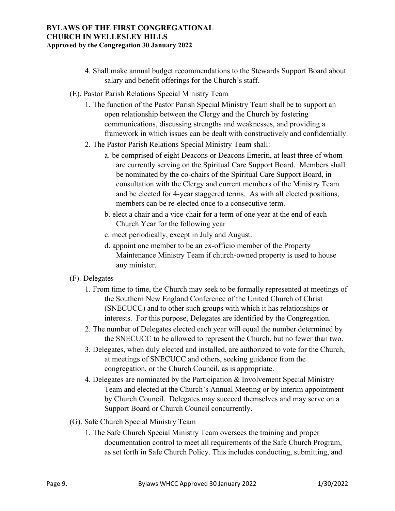- 4. Shall make annual budget recommendations to the Stewards Support Board about salary and benefit offerings for the Church's staff.
- (E). Pastor Parish Relations Special Ministry Team
	- 1. The function of the Pastor Parish Special Ministry Team shall be to support an open relationship between the Clergy and the Church by fostering communications, discussing strengths and weaknesses, and providing a framework in which issues can be dealt with constructively and confidentially.
	- 2. The Pastor Parish Relations Special Ministry Team shall:
		- a. be comprised of eight Deacons or Deacons Emeriti, at least three of whom are currently serving on the Spiritual Care Support Board. Members shall be nominated by the co-chairs of the Spiritual Care Support Board, in consultation with the Clergy and current members of the Ministry Team and be elected for 4-year staggered terms. As with all elected positions, members can be re-elected once to a consecutive term.
		- b. elect a chair and a vice-chair for a term of one year at the end of each Church Year for the following year
		- c. meet periodically, except in July and August.
		- d. appoint one member to be an ex-officio member of the Property Maintenance Ministry Team if church-owned property is used to house any minister.
- (F). Delegates
	- 1. From time to time, the Church may seek to be formally represented at meetings of the Southern New England Conference of the United Church of Christ (SNECUCC) and to other such groups with which it has relationships or interests. For this purpose, Delegates are identified by the Congregation.
	- 2. The number of Delegates elected each year will equal the number determined by the SNECUCC to be allowed to represent the Church, but no fewer than two.
	- 3. Delegates, when duly elected and installed, are authorized to vote for the Church, at meetings of SNECUCC and others, seeking guidance from the congregation, or the Church Council, as is appropriate.
	- 4. Delegates are nominated by the Participation & Involvement Special Ministry Team and elected at the Church's Annual Meeting or by interim appointment by Church Council. Delegates may succeed themselves and may serve on a Support Board or Church Council concurrently.
- (G). Safe Church Special Ministry Team
	- 1. The Safe Church Special Ministry Team oversees the training and proper documentation control to meet all requirements of the Safe Church Program, as set forth in Safe Church Policy. This includes conducting, submitting, and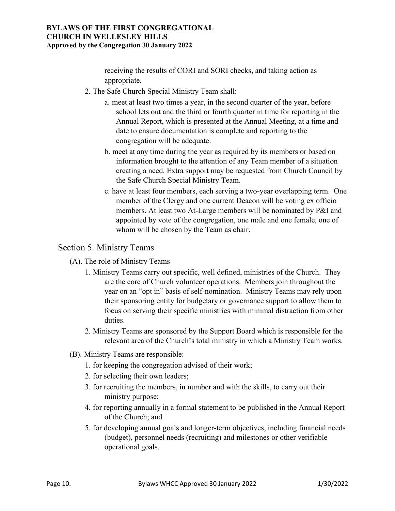receiving the results of CORI and SORI checks, and taking action as appropriate.

- 2. The Safe Church Special Ministry Team shall:
	- a. meet at least two times a year, in the second quarter of the year, before school lets out and the third or fourth quarter in time for reporting in the Annual Report, which is presented at the Annual Meeting, at a time and date to ensure documentation is complete and reporting to the congregation will be adequate.
	- b. meet at any time during the year as required by its members or based on information brought to the attention of any Team member of a situation creating a need. Extra support may be requested from Church Council by the Safe Church Special Ministry Team.
	- c. have at least four members, each serving a two-year overlapping term. One member of the Clergy and one current Deacon will be voting ex officio members. At least two At-Large members will be nominated by P&I and appointed by vote of the congregation, one male and one female, one of whom will be chosen by the Team as chair.

## Section 5. Ministry Teams

- (A). The role of Ministry Teams
	- 1. Ministry Teams carry out specific, well defined, ministries of the Church. They are the core of Church volunteer operations. Members join throughout the year on an "opt in" basis of self-nomination. Ministry Teams may rely upon their sponsoring entity for budgetary or governance support to allow them to focus on serving their specific ministries with minimal distraction from other duties.
	- 2. Ministry Teams are sponsored by the Support Board which is responsible for the relevant area of the Church's total ministry in which a Ministry Team works.
- (B). Ministry Teams are responsible:
	- 1. for keeping the congregation advised of their work;
	- 2. for selecting their own leaders;
	- 3. for recruiting the members, in number and with the skills, to carry out their ministry purpose;
	- 4. for reporting annually in a formal statement to be published in the Annual Report of the Church; and
	- 5. for developing annual goals and longer-term objectives, including financial needs (budget), personnel needs (recruiting) and milestones or other verifiable operational goals.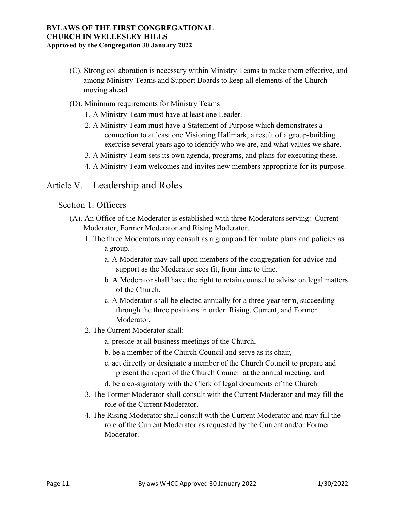- (C). Strong collaboration is necessary within Ministry Teams to make them effective, and among Ministry Teams and Support Boards to keep all elements of the Church moving ahead.
- (D). Minimum requirements for Ministry Teams
	- 1. A Ministry Team must have at least one Leader.
	- 2. A Ministry Team must have a Statement of Purpose which demonstrates a connection to at least one Visioning Hallmark, a result of a group-building exercise several years ago to identify who we are, and what values we share.
	- 3. A Ministry Team sets its own agenda, programs, and plans for executing these.
	- 4. A Ministry Team welcomes and invites new members appropriate for its purpose.

## Article V. Leadership and Roles

### Section 1. Officers

- (A). An Office of the Moderator is established with three Moderators serving: Current Moderator, Former Moderator and Rising Moderator.
	- 1. The three Moderators may consult as a group and formulate plans and policies as a group.
		- a. A Moderator may call upon members of the congregation for advice and support as the Moderator sees fit, from time to time.
		- b. A Moderator shall have the right to retain counsel to advise on legal matters of the Church.
		- c. A Moderator shall be elected annually for a three-year term, succeeding through the three positions in order: Rising, Current, and Former Moderator.
	- 2. The Current Moderator shall:
		- a. preside at all business meetings of the Church,
		- b. be a member of the Church Council and serve as its chair,
		- c. act directly or designate a member of the Church Council to prepare and present the report of the Church Council at the annual meeting, and
		- d. be a co-signatory with the Clerk of legal documents of the Church.
	- 3. The Former Moderator shall consult with the Current Moderator and may fill the role of the Current Moderator.
	- 4. The Rising Moderator shall consult with the Current Moderator and may fill the role of the Current Moderator as requested by the Current and/or Former Moderator.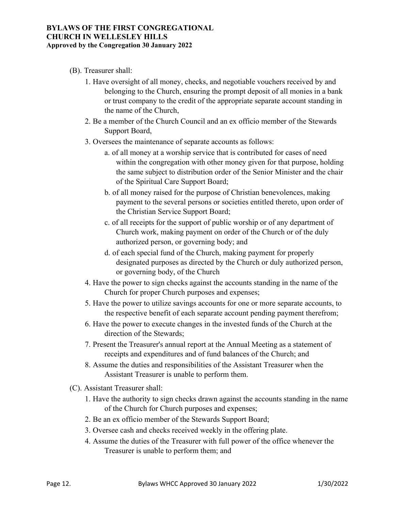- (B). Treasurer shall:
	- 1. Have oversight of all money, checks, and negotiable vouchers received by and belonging to the Church, ensuring the prompt deposit of all monies in a bank or trust company to the credit of the appropriate separate account standing in the name of the Church,
	- 2. Be a member of the Church Council and an ex officio member of the Stewards Support Board,
	- 3. Oversees the maintenance of separate accounts as follows:
		- a. of all money at a worship service that is contributed for cases of need within the congregation with other money given for that purpose, holding the same subject to distribution order of the Senior Minister and the chair of the Spiritual Care Support Board;
		- b. of all money raised for the purpose of Christian benevolences, making payment to the several persons or societies entitled thereto, upon order of the Christian Service Support Board;
		- c. of all receipts for the support of public worship or of any department of Church work, making payment on order of the Church or of the duly authorized person, or governing body; and
		- d. of each special fund of the Church, making payment for properly designated purposes as directed by the Church or duly authorized person, or governing body, of the Church
	- 4. Have the power to sign checks against the accounts standing in the name of the Church for proper Church purposes and expenses;
	- 5. Have the power to utilize savings accounts for one or more separate accounts, to the respective benefit of each separate account pending payment therefrom;
	- 6. Have the power to execute changes in the invested funds of the Church at the direction of the Stewards;
	- 7. Present the Treasurer's annual report at the Annual Meeting as a statement of receipts and expenditures and of fund balances of the Church; and
	- 8. Assume the duties and responsibilities of the Assistant Treasurer when the Assistant Treasurer is unable to perform them.
- (C). Assistant Treasurer shall:
	- 1. Have the authority to sign checks drawn against the accounts standing in the name of the Church for Church purposes and expenses;
	- 2. Be an ex officio member of the Stewards Support Board;
	- 3. Oversee cash and checks received weekly in the offering plate.
	- 4. Assume the duties of the Treasurer with full power of the office whenever the Treasurer is unable to perform them; and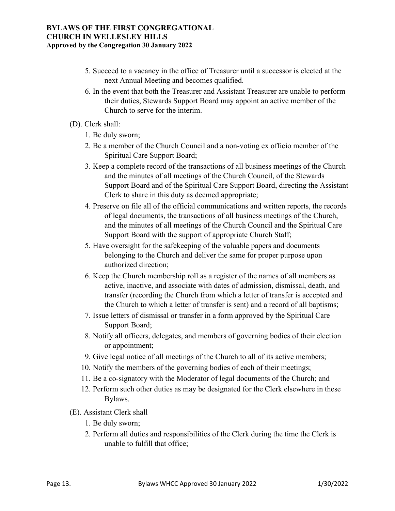- 5. Succeed to a vacancy in the office of Treasurer until a successor is elected at the next Annual Meeting and becomes qualified.
- 6. In the event that both the Treasurer and Assistant Treasurer are unable to perform their duties, Stewards Support Board may appoint an active member of the Church to serve for the interim.
- (D). Clerk shall:
	- 1. Be duly sworn;
	- 2. Be a member of the Church Council and a non-voting ex officio member of the Spiritual Care Support Board;
	- 3. Keep a complete record of the transactions of all business meetings of the Church and the minutes of all meetings of the Church Council, of the Stewards Support Board and of the Spiritual Care Support Board, directing the Assistant Clerk to share in this duty as deemed appropriate;
	- 4. Preserve on file all of the official communications and written reports, the records of legal documents, the transactions of all business meetings of the Church, and the minutes of all meetings of the Church Council and the Spiritual Care Support Board with the support of appropriate Church Staff;
	- 5. Have oversight for the safekeeping of the valuable papers and documents belonging to the Church and deliver the same for proper purpose upon authorized direction;
	- 6. Keep the Church membership roll as a register of the names of all members as active, inactive, and associate with dates of admission, dismissal, death, and transfer (recording the Church from which a letter of transfer is accepted and the Church to which a letter of transfer is sent) and a record of all baptisms;
	- 7. Issue letters of dismissal or transfer in a form approved by the Spiritual Care Support Board;
	- 8. Notify all officers, delegates, and members of governing bodies of their election or appointment;
	- 9. Give legal notice of all meetings of the Church to all of its active members;
	- 10. Notify the members of the governing bodies of each of their meetings;
	- 11. Be a co-signatory with the Moderator of legal documents of the Church; and
	- 12. Perform such other duties as may be designated for the Clerk elsewhere in these Bylaws.
- (E). Assistant Clerk shall
	- 1. Be duly sworn;
	- 2. Perform all duties and responsibilities of the Clerk during the time the Clerk is unable to fulfill that office;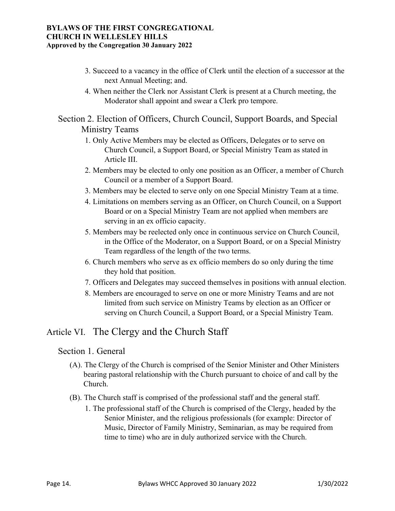- 3. Succeed to a vacancy in the office of Clerk until the election of a successor at the next Annual Meeting; and.
- 4. When neither the Clerk nor Assistant Clerk is present at a Church meeting, the Moderator shall appoint and swear a Clerk pro tempore.

Section 2. Election of Officers, Church Council, Support Boards, and Special Ministry Teams

- 1. Only Active Members may be elected as Officers, Delegates or to serve on Church Council, a Support Board, or Special Ministry Team as stated in Article III.
- 2. Members may be elected to only one position as an Officer, a member of Church Council or a member of a Support Board.
- 3. Members may be elected to serve only on one Special Ministry Team at a time.
- 4. Limitations on members serving as an Officer, on Church Council, on a Support Board or on a Special Ministry Team are not applied when members are serving in an ex officio capacity.
- 5. Members may be reelected only once in continuous service on Church Council, in the Office of the Moderator, on a Support Board, or on a Special Ministry Team regardless of the length of the two terms.
- 6. Church members who serve as ex officio members do so only during the time they hold that position.
- 7. Officers and Delegates may succeed themselves in positions with annual election.
- 8. Members are encouraged to serve on one or more Ministry Teams and are not limited from such service on Ministry Teams by election as an Officer or serving on Church Council, a Support Board, or a Special Ministry Team.

## Article VI. The Clergy and the Church Staff

### Section 1. General

- (A). The Clergy of the Church is comprised of the Senior Minister and Other Ministers bearing pastoral relationship with the Church pursuant to choice of and call by the Church.
- (B). The Church staff is comprised of the professional staff and the general staff.
	- 1. The professional staff of the Church is comprised of the Clergy, headed by the Senior Minister, and the religious professionals (for example: Director of Music, Director of Family Ministry, Seminarian, as may be required from time to time) who are in duly authorized service with the Church.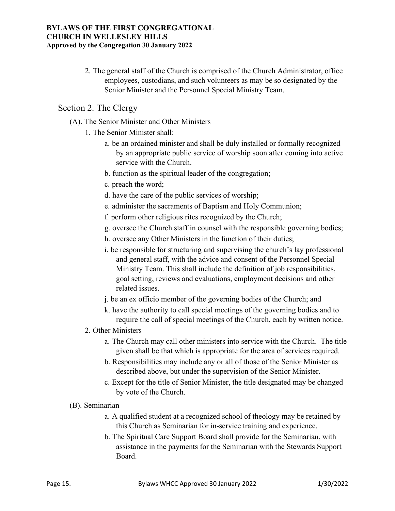2. The general staff of the Church is comprised of the Church Administrator, office employees, custodians, and such volunteers as may be so designated by the Senior Minister and the Personnel Special Ministry Team.

### Section 2. The Clergy

- (A). The Senior Minister and Other Ministers
	- 1. The Senior Minister shall:
		- a. be an ordained minister and shall be duly installed or formally recognized by an appropriate public service of worship soon after coming into active service with the Church.
		- b. function as the spiritual leader of the congregation;
		- c. preach the word;
		- d. have the care of the public services of worship;
		- e. administer the sacraments of Baptism and Holy Communion;
		- f. perform other religious rites recognized by the Church;
		- g. oversee the Church staff in counsel with the responsible governing bodies;
		- h. oversee any Other Ministers in the function of their duties;
		- i. be responsible for structuring and supervising the church's lay professional and general staff, with the advice and consent of the Personnel Special Ministry Team. This shall include the definition of job responsibilities, goal setting, reviews and evaluations, employment decisions and other related issues.
		- j. be an ex officio member of the governing bodies of the Church; and
		- k. have the authority to call special meetings of the governing bodies and to require the call of special meetings of the Church, each by written notice.
	- 2. Other Ministers
		- a. The Church may call other ministers into service with the Church. The title given shall be that which is appropriate for the area of services required.
		- b. Responsibilities may include any or all of those of the Senior Minister as described above, but under the supervision of the Senior Minister.
		- c. Except for the title of Senior Minister, the title designated may be changed by vote of the Church.
- (B). Seminarian
	- a. A qualified student at a recognized school of theology may be retained by this Church as Seminarian for in-service training and experience.
	- b. The Spiritual Care Support Board shall provide for the Seminarian, with assistance in the payments for the Seminarian with the Stewards Support Board.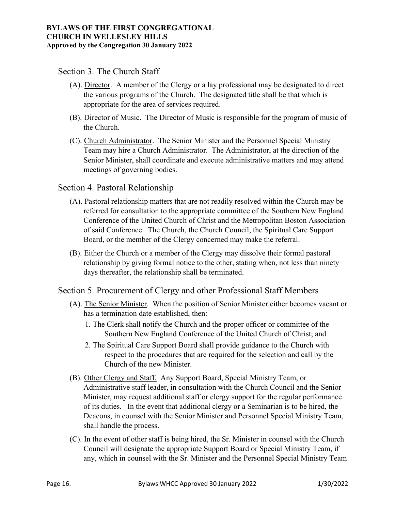### Section 3. The Church Staff

- (A). Director. A member of the Clergy or a lay professional may be designated to direct the various programs of the Church. The designated title shall be that which is appropriate for the area of services required.
- (B). Director of Music. The Director of Music is responsible for the program of music of the Church.
- (C). Church Administrator. The Senior Minister and the Personnel Special Ministry Team may hire a Church Administrator. The Administrator, at the direction of the Senior Minister, shall coordinate and execute administrative matters and may attend meetings of governing bodies.

### Section 4. Pastoral Relationship

- (A). Pastoral relationship matters that are not readily resolved within the Church may be referred for consultation to the appropriate committee of the Southern New England Conference of the United Church of Christ and the Metropolitan Boston Association of said Conference. The Church, the Church Council, the Spiritual Care Support Board, or the member of the Clergy concerned may make the referral.
- (B). Either the Church or a member of the Clergy may dissolve their formal pastoral relationship by giving formal notice to the other, stating when, not less than ninety days thereafter, the relationship shall be terminated.

## Section 5. Procurement of Clergy and other Professional Staff Members

- (A). The Senior Minister. When the position of Senior Minister either becomes vacant or has a termination date established, then:
	- 1. The Clerk shall notify the Church and the proper officer or committee of the Southern New England Conference of the United Church of Christ; and
	- 2. The Spiritual Care Support Board shall provide guidance to the Church with respect to the procedures that are required for the selection and call by the Church of the new Minister.
- (B). Other Clergy and Staff. Any Support Board, Special Ministry Team, or Administrative staff leader, in consultation with the Church Council and the Senior Minister, may request additional staff or clergy support for the regular performance of its duties. In the event that additional clergy or a Seminarian is to be hired, the Deacons, in counsel with the Senior Minister and Personnel Special Ministry Team, shall handle the process.
- (C). In the event of other staff is being hired, the Sr. Minister in counsel with the Church Council will designate the appropriate Support Board or Special Ministry Team, if any, which in counsel with the Sr. Minister and the Personnel Special Ministry Team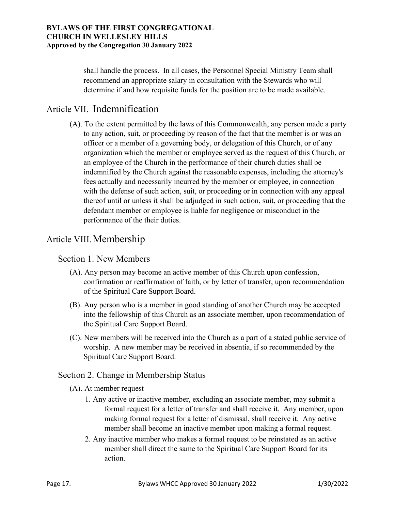shall handle the process. In all cases, the Personnel Special Ministry Team shall recommend an appropriate salary in consultation with the Stewards who will determine if and how requisite funds for the position are to be made available.

## Article VII. Indemnification

(A). To the extent permitted by the laws of this Commonwealth, any person made a party to any action, suit, or proceeding by reason of the fact that the member is or was an officer or a member of a governing body, or delegation of this Church, or of any organization which the member or employee served as the request of this Church, or an employee of the Church in the performance of their church duties shall be indemnified by the Church against the reasonable expenses, including the attorney's fees actually and necessarily incurred by the member or employee, in connection with the defense of such action, suit, or proceeding or in connection with any appeal thereof until or unless it shall be adjudged in such action, suit, or proceeding that the defendant member or employee is liable for negligence or misconduct in the performance of the their duties.

## Article VIII. Membership

### Section 1. New Members

- (A). Any person may become an active member of this Church upon confession, confirmation or reaffirmation of faith, or by letter of transfer, upon recommendation of the Spiritual Care Support Board.
- (B). Any person who is a member in good standing of another Church may be accepted into the fellowship of this Church as an associate member, upon recommendation of the Spiritual Care Support Board.
- (C). New members will be received into the Church as a part of a stated public service of worship. A new member may be received in absentia, if so recommended by the Spiritual Care Support Board.

### Section 2. Change in Membership Status

(A). At member request

- 1. Any active or inactive member, excluding an associate member, may submit a formal request for a letter of transfer and shall receive it. Any member, upon making formal request for a letter of dismissal, shall receive it. Any active member shall become an inactive member upon making a formal request.
- 2. Any inactive member who makes a formal request to be reinstated as an active member shall direct the same to the Spiritual Care Support Board for its action.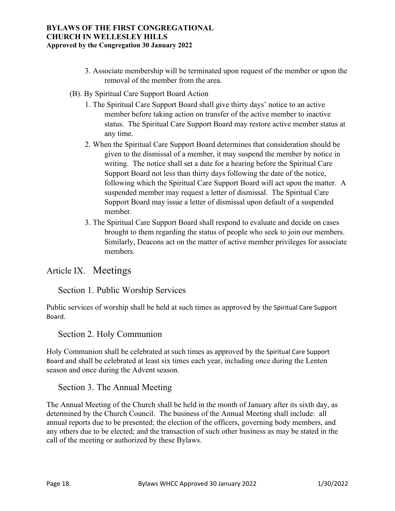- 3. Associate membership will be terminated upon request of the member or upon the removal of the member from the area.
- (B). By Spiritual Care Support Board Action
	- 1. The Spiritual Care Support Board shall give thirty days' notice to an active member before taking action on transfer of the active member to inactive status. The Spiritual Care Support Board may restore active member status at any time.
	- 2. When the Spiritual Care Support Board determines that consideration should be given to the dismissal of a member, it may suspend the member by notice in writing. The notice shall set a date for a hearing before the Spiritual Care Support Board not less than thirty days following the date of the notice, following which the Spiritual Care Support Board will act upon the matter. A suspended member may request a letter of dismissal. The Spiritual Care Support Board may issue a letter of dismissal upon default of a suspended member.
	- 3. The Spiritual Care Support Board shall respond to evaluate and decide on cases brought to them regarding the status of people who seek to join our members. Similarly, Deacons act on the matter of active member privileges for associate members.

## Article IX. Meetings

## Section 1. Public Worship Services

Public services of worship shall be held at such times as approved by the Spiritual Care Support Board.

## Section 2. Holy Communion

Holy Communion shall be celebrated at such times as approved by the Spiritual Care Support Board and shall be celebrated at least six times each year, including once during the Lenten season and once during the Advent season.

### Section 3. The Annual Meeting

The Annual Meeting of the Church shall be held in the month of January after its sixth day, as determined by the Church Council. The business of the Annual Meeting shall include: all annual reports due to be presented; the election of the officers, governing body members, and any others due to be elected; and the transaction of such other business as may be stated in the call of the meeting or authorized by these Bylaws.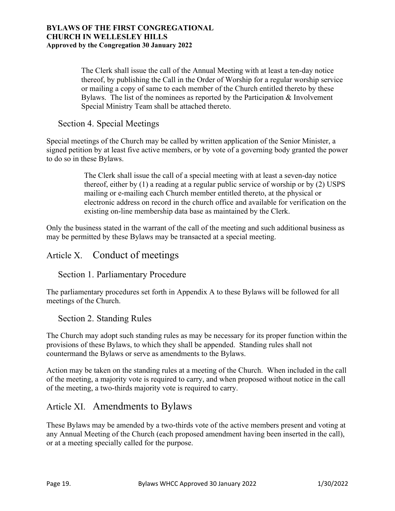The Clerk shall issue the call of the Annual Meeting with at least a ten-day notice thereof, by publishing the Call in the Order of Worship for a regular worship service or mailing a copy of same to each member of the Church entitled thereto by these Bylaws. The list of the nominees as reported by the Participation & Involvement Special Ministry Team shall be attached thereto.

## Section 4. Special Meetings

Special meetings of the Church may be called by written application of the Senior Minister, a signed petition by at least five active members, or by vote of a governing body granted the power to do so in these Bylaws.

> The Clerk shall issue the call of a special meeting with at least a seven-day notice thereof, either by (1) a reading at a regular public service of worship or by (2) USPS mailing or e-mailing each Church member entitled thereto, at the physical or electronic address on record in the church office and available for verification on the existing on-line membership data base as maintained by the Clerk.

Only the business stated in the warrant of the call of the meeting and such additional business as may be permitted by these Bylaws may be transacted at a special meeting.

## Article X. Conduct of meetings

### Section 1. Parliamentary Procedure

The parliamentary procedures set forth in Appendix A to these Bylaws will be followed for all meetings of the Church.

## Section 2. Standing Rules

The Church may adopt such standing rules as may be necessary for its proper function within the provisions of these Bylaws, to which they shall be appended. Standing rules shall not countermand the Bylaws or serve as amendments to the Bylaws.

Action may be taken on the standing rules at a meeting of the Church. When included in the call of the meeting, a majority vote is required to carry, and when proposed without notice in the call of the meeting, a two-thirds majority vote is required to carry.

## Article XI. Amendments to Bylaws

These Bylaws may be amended by a two-thirds vote of the active members present and voting at any Annual Meeting of the Church (each proposed amendment having been inserted in the call), or at a meeting specially called for the purpose.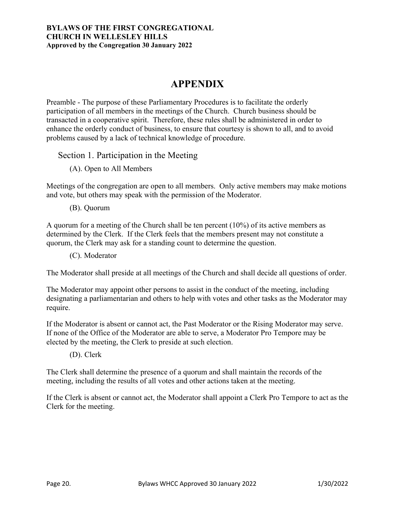# **APPENDIX**

Preamble - The purpose of these Parliamentary Procedures is to facilitate the orderly participation of all members in the meetings of the Church. Church business should be transacted in a cooperative spirit. Therefore, these rules shall be administered in order to enhance the orderly conduct of business, to ensure that courtesy is shown to all, and to avoid problems caused by a lack of technical knowledge of procedure.

### Section 1. Participation in the Meeting

(A). Open to All Members

Meetings of the congregation are open to all members. Only active members may make motions and vote, but others may speak with the permission of the Moderator.

(B). Quorum

A quorum for a meeting of the Church shall be ten percent (10%) of its active members as determined by the Clerk. If the Clerk feels that the members present may not constitute a quorum, the Clerk may ask for a standing count to determine the question.

(C). Moderator

The Moderator shall preside at all meetings of the Church and shall decide all questions of order.

The Moderator may appoint other persons to assist in the conduct of the meeting, including designating a parliamentarian and others to help with votes and other tasks as the Moderator may require.

If the Moderator is absent or cannot act, the Past Moderator or the Rising Moderator may serve. If none of the Office of the Moderator are able to serve, a Moderator Pro Tempore may be elected by the meeting, the Clerk to preside at such election.

(D). Clerk

The Clerk shall determine the presence of a quorum and shall maintain the records of the meeting, including the results of all votes and other actions taken at the meeting.

If the Clerk is absent or cannot act, the Moderator shall appoint a Clerk Pro Tempore to act as the Clerk for the meeting.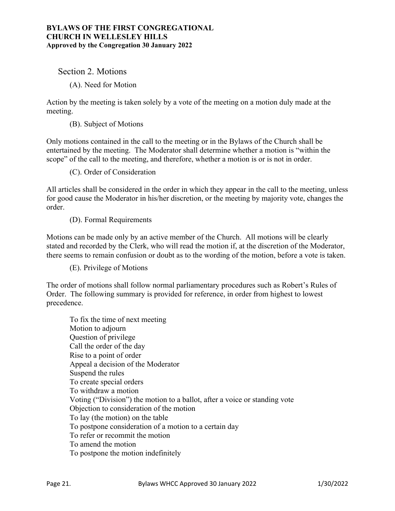Section 2. Motions

(A). Need for Motion

Action by the meeting is taken solely by a vote of the meeting on a motion duly made at the meeting.

(B). Subject of Motions

Only motions contained in the call to the meeting or in the Bylaws of the Church shall be entertained by the meeting. The Moderator shall determine whether a motion is "within the scope" of the call to the meeting, and therefore, whether a motion is or is not in order.

(C). Order of Consideration

All articles shall be considered in the order in which they appear in the call to the meeting, unless for good cause the Moderator in his/her discretion, or the meeting by majority vote, changes the order.

(D). Formal Requirements

Motions can be made only by an active member of the Church. All motions will be clearly stated and recorded by the Clerk, who will read the motion if, at the discretion of the Moderator, there seems to remain confusion or doubt as to the wording of the motion, before a vote is taken.

(E). Privilege of Motions

The order of motions shall follow normal parliamentary procedures such as Robert's Rules of Order. The following summary is provided for reference, in order from highest to lowest precedence.

 To fix the time of next meeting Motion to adjourn Question of privilege Call the order of the day Rise to a point of order Appeal a decision of the Moderator Suspend the rules To create special orders To withdraw a motion Voting ("Division") the motion to a ballot, after a voice or standing vote Objection to consideration of the motion To lay (the motion) on the table To postpone consideration of a motion to a certain day To refer or recommit the motion To amend the motion To postpone the motion indefinitely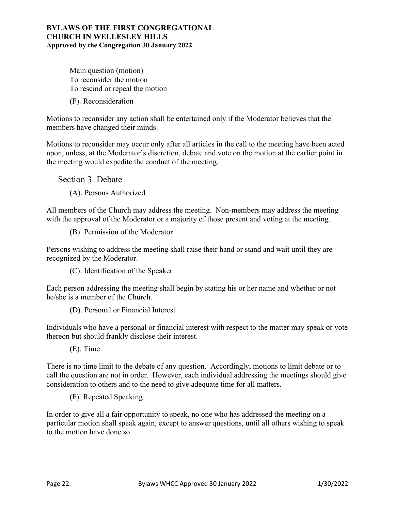Main question (motion) To reconsider the motion To rescind or repeal the motion

(F). Reconsideration

Motions to reconsider any action shall be entertained only if the Moderator believes that the members have changed their minds.

Motions to reconsider may occur only after all articles in the call to the meeting have been acted upon, unless, at the Moderator's discretion, debate and vote on the motion at the earlier point in the meeting would expedite the conduct of the meeting.

Section 3. Debate

(A). Persons Authorized

All members of the Church may address the meeting. Non-members may address the meeting with the approval of the Moderator or a majority of those present and voting at the meeting.

(B). Permission of the Moderator

Persons wishing to address the meeting shall raise their hand or stand and wait until they are recognized by the Moderator.

(C). Identification of the Speaker

Each person addressing the meeting shall begin by stating his or her name and whether or not he/she is a member of the Church.

(D). Personal or Financial Interest

Individuals who have a personal or financial interest with respect to the matter may speak or vote thereon but should frankly disclose their interest.

(E). Time

There is no time limit to the debate of any question. Accordingly, motions to limit debate or to call the question are not in order. However, each individual addressing the meetings should give consideration to others and to the need to give adequate time for all matters.

(F). Repeated Speaking

In order to give all a fair opportunity to speak, no one who has addressed the meeting on a particular motion shall speak again, except to answer questions, until all others wishing to speak to the motion have done so.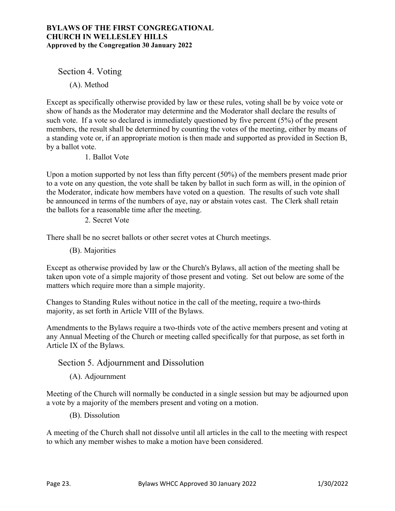Section 4. Voting

(A). Method

Except as specifically otherwise provided by law or these rules, voting shall be by voice vote or show of hands as the Moderator may determine and the Moderator shall declare the results of such vote. If a vote so declared is immediately questioned by five percent (5%) of the present members, the result shall be determined by counting the votes of the meeting, either by means of a standing vote or, if an appropriate motion is then made and supported as provided in Section B, by a ballot vote.

1. Ballot Vote

Upon a motion supported by not less than fifty percent (50%) of the members present made prior to a vote on any question, the vote shall be taken by ballot in such form as will, in the opinion of the Moderator, indicate how members have voted on a question. The results of such vote shall be announced in terms of the numbers of aye, nay or abstain votes cast. The Clerk shall retain the ballots for a reasonable time after the meeting.

2. Secret Vote

There shall be no secret ballots or other secret votes at Church meetings.

(B). Majorities

Except as otherwise provided by law or the Church's Bylaws, all action of the meeting shall be taken upon vote of a simple majority of those present and voting. Set out below are some of the matters which require more than a simple majority.

Changes to Standing Rules without notice in the call of the meeting, require a two-thirds majority, as set forth in Article VIII of the Bylaws.

Amendments to the Bylaws require a two-thirds vote of the active members present and voting at any Annual Meeting of the Church or meeting called specifically for that purpose, as set forth in Article IX of the Bylaws.

### Section 5. Adjournment and Dissolution

(A). Adjournment

Meeting of the Church will normally be conducted in a single session but may be adjourned upon a vote by a majority of the members present and voting on a motion.

(B). Dissolution

A meeting of the Church shall not dissolve until all articles in the call to the meeting with respect to which any member wishes to make a motion have been considered.